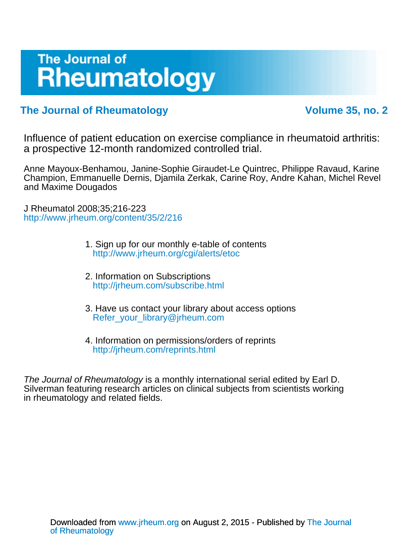# The Journal of **Rheumatology**

### **The Journal of Rheumatology** The Volume 35, no. 2

a prospective 12-month randomized controlled trial. Influence of patient education on exercise compliance in rheumatoid arthritis:

and Maxime Dougados Champion, Emmanuelle Dernis, Djamila Zerkak, Carine Roy, Andre Kahan, Michel Revel Anne Mayoux-Benhamou, Janine-Sophie Giraudet-Le Quintrec, Philippe Ravaud, Karine

<http://www.jrheum.org/content/35/2/216> J Rheumatol 2008;35;216-223

- <http://www.jrheum.org/cgi/alerts/etoc> 1. Sign up for our monthly e-table of contents
- <http://jrheum.com/subscribe.html> 2. Information on Subscriptions
- [Refer\\_your\\_library@jrheum.com](mailto:Refer_your_library@jrheum.com) 3. Have us contact your library about access options
- <http://jrheum.com/reprints.html> 4. Information on permissions/orders of reprints

in rheumatology and related fields. Silverman featuring research articles on clinical subjects from scientists working The Journal of Rheumatology is a monthly international serial edited by Earl D.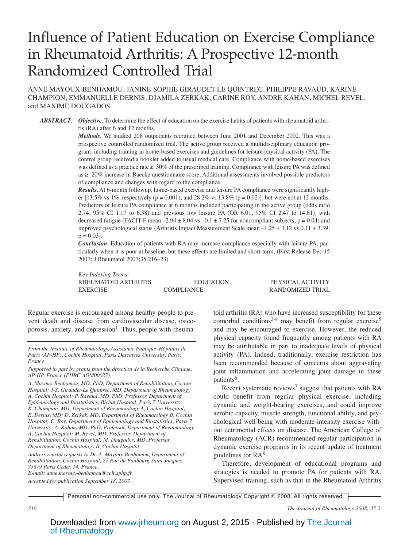## Influence of Patient Education on Exercise Compliance in Rheumatoid Arthritis: A Prospective 12-month Randomized Controlled Trial

ANNE MAYOUX-BENHAMOU, JANINE-SOPHIE GIRAUDET-LE QUINTREC, PHILIPPE RAVAUD, KARINE CHAMPION, EMMANUELLE DERNIS, DJAMILA ZERKAK, CARINE ROY, ANDRE KAHAN, MICHEL REVEL, and MAXIME DOUGADOS

*ABSTRACT. Objective.* To determine the effect of education on the exercise habits of patients with rheumatoid arthritis (RA) after 6 and 12 months.

> *Methods.* We studied 208 outpatients recruited between June 2001 and December 2002. This was a prospective controlled randomized trial. The active group received a multidisciplinary education program, including training in home-based exercises and guidelines for leisure physical activity (PA). The control group received a booklet added to usual medical care. Compliance with home-based exercises was defined as a practice rate  $\geq 30\%$  of the prescribed training. Compliance with leisure PA was defined as ≥ 20% increase in Baecke questionnaire score. Additional assessments involved possible predictors of compliance and changes with regard to the compliance.

> *Results.* At 6-month followup, home-based exercise and leisure PA compliance were significantly higher [13.5% vs 1%, respectively ( $p = 0.001$ ); and 28.2% vs 13.8% ( $p = 0.02$ )], but were not at 12 months. Predictors of leisure PA compliance at 6 months included participating in the active group (odds ratio 2.74, 95% CI 1.17 to 6.38) and previous low leisure PA (OR 6.01, 95% CI 2.47 to 14.61), with decreased fatigue (FACIT-F mean  $-2.94 \pm 8.04$  vs  $-0.1 \pm 7.25$  for noncompliant subjects;  $p = 0.04$ ) and improved psychological status (Arthritis Impact Measurement Scale mean  $-1.25 \pm 3.12$  vs  $0.11 \pm 3.39$ ;  $p = 0.03$ .

> *Conclusion.* Education of patients with RA may increase compliance especially with leisure PA, particularly when it is poor at baseline, but these effects are limited and short-term. (First Release Dec 15 2007; J Rheumatol 2007;35:216–23)

> *Key Indexing Terms:* RHEUMATOID ARTHRITIS EDUCATION PHYSICAL ACTIVITY EXERCISE COMPLIANCE RANDOMIZED TRIAL

Regular exercise is encouraged among healthy people to prevent death and disease from cardiovascular disease, osteoporosis, anxiety, and depression<sup>1</sup>. Thus, people with rheuma-

*Address reprint requests to Dr. A. Mayoux-Benhamou, Department of Rehabilitation, Cochin Hospital, 27 Rue du Faubourg Saint Jacques, 75679 Paris Cedex 14, France.*

*E-mail: anne.mayoux-benhamou@cch.aphp.fr Accepted for publication September 18, 2007.*

toid arthritis (RA) who have increased susceptibility for these comorbid conditions<sup>2-4</sup> may benefit from regular exercise<sup>5</sup> and may be encouraged to exercise. However, the reduced physical capacity found frequently among patients with RA may be attributable in part to inadequate levels of physical activity (PA). Indeed, traditionally, exercise restriction has been recommended because of concerns about aggravating joint inflammation and accelerating joint damage in these patients<sup>6</sup>.

Recent systematic reviews<sup>7</sup> suggest that patients with RA could benefit from regular physical exercise, including dynamic and weight-bearing exercises, and could improve aerobic capacity, muscle strength, functional ability, and psychological well-being with moderate-intensity exercise without detrimental effects on disease. The American College of Rheumatology (ACR) recommended regular participation in dynamic exercise programs in its recent update of treatment guidelines for  $RA^8$ .

Therefore, development of educational programs and strategies is needed to promote PA for patients with RA. Supervised training, such as that in the Rheumatoid Arthritis

Personal non-commercial use only. The Journal of Rheumatology Copyright © 2008. All rights reserved.

*From the Institute of Rheumatology, Assistance Publique–Hôpitaux de Paris (AP-HP), Cochin Hospital, Paris Descartes University, Paris, France.*

*Supported in part by grants from the direction de la Recherche Clinique, AP-HP, France (PHRC AOM00027).*

*A. Mayoux-Benhamou, MD, PhD, Department of Rehabilitation, Cochin Hospital; J-S. Giraudet-Le Quintrec, MD, Department of Rheumatology A, Cochin Hospital; P. Ravaud, MD, PhD, Professor, Department of Epidemiology and Biostatistics, Bichat Hospital, Paris 7 University; K. Champion, MD, Department of Rheumatology A, Cochin Hospital; E. Dernis, MD; D. Zerkak, MD, Department of Rheumatology B, Cochin Hospital; C. Roy, Department of Epidemiology and Biostatistics, Paris 7 University; A. Kahan, MD, PhD, Professor, Department of Rheumatology A, Cochin Hospital; M. Revel, MD, Professor, Department of Rehabilitation, Cochin Hospital; M. Dougados, MD, Professor, Department of Rheumatology B, Cochin Hospital.*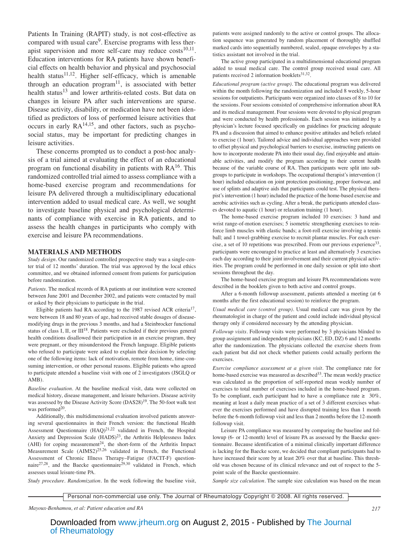Patients In Training (RAPIT) study, is not cost-effective as compared with usual care<sup>9</sup>. Exercise programs with less therapist supervision and more self-care may reduce  $costs<sup>10,11</sup>$ . Education interventions for RA patients have shown beneficial effects on health behavior and physical and psychosocial health status $11,12$ . Higher self-efficacy, which is amenable through an education program $11$ , is associated with better health status<sup>13</sup> and lower arthritis-related costs. But data on changes in leisure PA after such interventions are sparse. Disease activity, disability, or medication have not been identified as predictors of loss of performed leisure activities that occurs in early  $RA^{14,15}$ , and other factors, such as psychosocial status, may be important for predicting changes in leisure activities.

These concerns prompted us to conduct a post-hoc analysis of a trial aimed at evaluating the effect of an educational program on functional disability in patients with  $RA^{16}$ . This randomized controlled trial aimed to assess compliance with a home-based exercise program and recommendations for leisure PA delivered through a multidisciplinary educational intervention added to usual medical care. As well, we sought to investigate baseline physical and psychological determinants of compliance with exercise in RA patients, and to assess the health changes in participants who comply with exercise and leisure PA recommendations.

#### **MATERIALS AND METHODS**

*Study design.* Our randomized controlled prospective study was a single-center trial of 12 months' duration. The trial was approved by the local ethics committee, and we obtained informed consent from patients for participation before randomization.

*Patients.* The medical records of RA patients at our institution were screened between June 2001 and December 2002, and patients were contacted by mail or asked by their physicians to participate in the trial.

Eligible patients had RA according to the 1987 revised ACR criteria<sup>17</sup>, were between 18 and 80 years of age, had received stable dosages of diseasemodifying drugs in the previous 3 months, and had a Steinbrocker functional status of class I, II, or III<sup>18</sup>. Patients were excluded if their previous general health conditions disallowed their participation in an exercise program, they were pregnant, or they misunderstood the French language. Eligible patients who refused to participate were asked to explain their decision by selecting one of the following items: lack of motivation, remote from home, time-consuming intervention, or other personal reasons. Eligible patients who agreed to participate attended a baseline visit with one of 2 investigators (JSGLQ or AMB).

*Baseline evaluation.* At the baseline medical visit, data were collected on medical history, disease management, and leisure behaviors. Disease activity was assessed by the Disease Activity Score (DAS28)<sup>19</sup>. The 50-foot walk test was performed<sup>20</sup>.

Additionally, this multidimensional evaluation involved patients answering several questionnaires in their French version: the functional Health Assessment Questionnaire  $(HAQ)^{21,22}$  validated in French, the Hospital Anxiety and Depression Scale (HADS)<sup>23</sup>, the Arthritis Helplessness Index (AHI) for coping measurement<sup>24</sup>, the short-form of the Arthritis Impact Measurement Scale  $(AIMS2)^{25,26}$  validated in French, the Functional Assessment of Chronic Illness Therapy–Fatigue (FACIT-F) questionnaire<sup>27,28</sup>, and the Baecke questionnaire<sup>29,30</sup> validated in French, which assesses usual leisure-time PA.

*Study procedure. Randomization.* In the week following the baseline visit,

patients were assigned randomly to the active or control groups. The allocation sequence was generated by random placement of thoroughly shuffled marked cards into sequentially numbered, sealed, opaque envelopes by a statistics assistant not involved in the trial.

The active group participated in a multidimensional educational program added to usual medical care. The control group received usual care. All patients received 2 information booklets<sup>31,32</sup>.

*Educational program (active group).* The educational program was delivered within the month following the randomization and included 8 weekly, 5-hour sessions for outpatients. Participants were organized into classes of 8 to 10 for the sessions. Four sessions consisted of comprehensive information about RA and its medical management. Four sessions were devoted to physical program and were conducted by health professionals. Each session was initiated by a physician's lecture focused specifically on guidelines for practicing adequate PA and a discussion that aimed to enhance positive attitudes and beliefs related to exercise (1 hour). Tailored advice and individual approaches were provided to offset physical and psychological barriers to exercise, instructing patients on how to incorporate moderate PA into their usual day, find enjoyable and attainable activities, and modify the program according to their current health because of the variable course of RA. Then participants were split into subgroups to participate in workshops. The occupational therapist's intervention (1 hour) included education on joint protection positioning, proper footwear, and use of splints and adaptive aids that participants could test. The physical therapist's intervention (1 hour) included the practice of the home-based exercise and aerobic activities such as cycling. After a break, the participants attended classes devoted to aquatic (1 hour) or relaxation training (1 hour).

The home-based exercise program included 10 exercises: 3 hand and wrist range-of-motion exercises; 5 isometric strengthening exercises to reinforce limb muscles with elastic bands; a foot-roll exercise involving a tennis ball; and 1 towel-grabbing exercise to recruit plantar muscles. For each exercise, a set of 10 repetitions was prescribed. From our previous experience<sup>33</sup>, participants were encouraged to practice at least and alternatively 3 exercises each day according to their joint involvement and their current physical activities. The program could be performed in one daily session or split into short sessions throughout the day.

The home-based exercise program and leisure PA recommendations were described in the booklets given to both active and control groups.

After a 6-month followup assessment, patients attended a meeting (at 6 months after the first educational session) to reinforce the program.

*Usual medical care (control group).* Usual medical care was given by the rheumatologist in charge of the patient and could include individual physical therapy only if considered necessary by the attending physician.

*Followup visits.* Followup visits were performed by 3 physicians blinded to group assignment and independent physicians (KC, ED, DZ) 6 and 12 months after the randomization. The physicians collected the exercise sheets from each patient but did not check whether patients could actually perform the exercises.

*Exercise compliance assessment at a given visit.* The compliance rate for home-based exercise was measured as described<sup>33</sup>. The mean weekly practice was calculated as the proportion of self-reported mean weekly number of exercises to total number of exercises included in the home-based program. To be compliant, each participant had to have a compliance rate  $\geq 30\%$ , meaning at least a daily mean practice of a set of 3 different exercises whatever the exercises performed and have disrupted training less than 1 month before the 6-month followup visit and less than 2 months before the 12-month followup visit.

Leisure PA compliance was measured by comparing the baseline and followup (6- or 12-month) level of leisure PA as assessed by the Baecke questionnaire. Because identification of a minimal clinically important difference is lacking for the Baecke score, we decided that compliant participants had to have increased their score by at least 20% over that at baseline. This threshold was chosen because of its clinical relevance and out of respect to the 5 point scale of the Baecke questionnaire.

*Sample size calculation.* The sample size calculation was based on the mean

Personal non-commercial use only. The Journal of Rheumatology Copyright © 2008. All rights reserved.

*Mayoux-Benhamou, et al: Patient education and RA 217*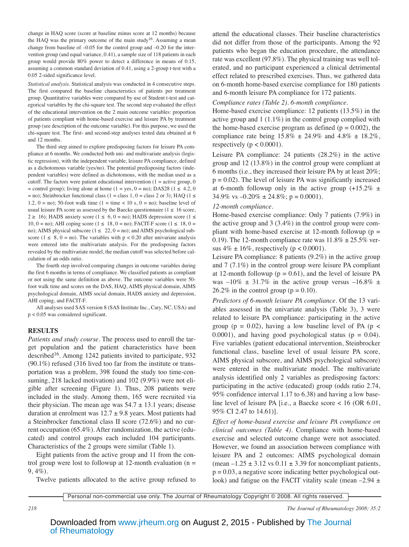change in HAQ score (score at baseline minus score at 12 months) because the HAQ was the primary outcome of the main study<sup>16</sup>. Assuming a mean change from baseline of  $-0.05$  for the control group and  $-0.20$  for the intervention group (and equal variance, 0.41), a sample size of 118 patients in each group would provide 80% power to detect a difference in means of 0.15, assuming a common standard deviation of 0.41, using a 2-group t-test with a 0.05 2-sided significance level.

*Statistical analysis.* Statistical analysis was conducted in 4 consecutive steps. The first compared the baseline characteristics of patients per treatment group. Quantitative variables were compared by use of Student t-test and categorical variables by the chi-square test. The second step evaluated the effect of the educational intervention on the 2 main outcome variables: proportion of patients compliant with home-based exercise and leisure PA by treatment group (see description of the outcome variable). For this purpose, we used the chi-square test. The first- and second-step analyses tested data obtained at 6 and 12 months.

The third step aimed to explore predisposing factors for leisure PA compliance at 6 months. We conducted both uni- and multivariate analysis (logistic regression), with the independent variable, leisure PA compliance, defined as a dichotomous variable (yes/no). The potential predisposing factors (independent variables) were defined as dichotomous, with the median used as a cutoff. The factors were patient educational intervention  $(1 = \text{active group}, 0$ = control group); living alone at home (1 = yes, 0 = no); DAS28 (1  $\leq$  4.2, 0  $=$  no); Steinbrocker functional class (1 = class 1, 0 = class 2 or 3); HAQ (1  $\le$ 1.2, 0 = no); 50-foot walk time (1 = time < 10 s, 0 = no); baseline level of usual leisure PA score as assessed by the Baecke questionnaire ( $1 \le 16$  score, 2 ≥ 16); HADS anxiety score (1 ≤ 6, 0 = no); HADS depression score (1 ≤ 10, 0 = no); AHI coping score (1 ≤ 18, 0 = no); FACIT-F score (1 ≤ 18, 0 = no); AIMS physical subscore ( $1 \le 22$ ,  $0 =$  no); and AIMS psychological subscore ( $1 \le 8$ ,  $0 =$  no). The variables with  $p < 0.20$  after univariate analysis were entered into the multivariate analysis. For the predisposing factors revealed by the multivariate model, the median cutoff was selected before calculation of an odds ratio.

The fourth step involved comparing changes in outcome variables during the first 6 months in terms of compliance. We classified patients as compliant or not using the same definition as above. The outcome variables were 50 foot walk time and scores on the DAS, HAQ, AIMS physical domain, AIMS psychological domain, AIMS social domain, HADS anxiety and depression, AHI coping, and FACIT-F.

All analyses used SAS version 8 (SAS Institute Inc., Cary, NC, USA) and p < 0.05 was considered significant.

### **RESULTS**

*Patients and study course.* The process used to enroll the target population and the patient characteristics have been described<sup>16</sup>. Among 1242 patients invited to participate, 932 (90.1%) refused (316 lived too far from the institute or transportation was a problem, 398 found the study too time-consuming, 218 lacked motivation) and 102 (9.9%) were not eligible after screening (Figure 1). Thus, 208 patients were included in the study. Among them, 165 were recruited via their physician. The mean age was  $54.7 \pm 13.1$  years; disease duration at enrolment was  $12.7 \pm 9.8$  years. Most patients had a Steinbrocker functional class II score (72.6%) and no current occupation (65.4%). After randomization, the active (educated) and control groups each included 104 participants. Characteristics of the 2 groups were similar (Table 1).

Eight patients from the active group and 11 from the control group were lost to followup at 12-month evaluation  $(n =$  $9,4\%$ ).

Twelve patients allocated to the active group refused to

attend the educational classes. Their baseline characteristics did not differ from those of the participants. Among the 92 patients who began the education procedure, the attendance rate was excellent (97.8%). The physical training was well tolerated, and no participant experienced a clinical detrimental effect related to prescribed exercises. Thus, we gathered data on 6-month home-based exercise compliance for 180 patients and 6-month leisure PA compliance for 172 patients.

#### *Compliance rates (Table 2). 6-month compliance.*

Home-based exercise compliance: 12 patients (13.5%) in the active group and 1 (1.1%) in the control group complied with the home-based exercise program as defined ( $p = 0.002$ ), the compliance rate being  $15.8\% \pm 24.9\%$  and  $4.8\% \pm 18.2\%$ , respectively ( $p < 0.0001$ ).

Leisure PA compliance: 24 patients (28.2%) in the active group and 12 (13.8%) in the control group were compliant at 6 months (i.e., they increased their leisure PA by at least 20%;  $p = 0.02$ ). The level of leisure PA was significantly increased at 6-month followup only in the active group  $(+15.2\% \pm)$ 34.9% vs  $-0.20\% \pm 24.8\%$ ; p = 0.0001).

#### *12-month compliance.*

Home-based exercise compliance: Only 7 patients (7.9%) in the active group and 3 (3.4%) in the control group were compliant with home-based exercise at 12-month followup ( $p =$ 0.19). The 12-month compliance rate was  $11.8\% \pm 25.5\%$  versus  $4\% \pm 16\%$ , respectively (p < 0.0001).

Leisure PA compliance: 8 patients (9.2%) in the active group and 7 (7.1%) in the control group were leisure PA compliant at 12-month followup ( $p = 0.61$ ), and the level of leisure PA was  $-10\% \pm 31.7\%$  in the active group versus  $-16.8\% \pm 10.8\%$ 26.2% in the control group ( $p = 0.10$ ).

*Predictors of 6-month leisure PA compliance.* Of the 13 variables assessed in the univariate analysis (Table 3), 3 were related to leisure PA compliance: participating in the active group ( $p = 0.02$ ), having a low baseline level of PA ( $p <$ 0.0001), and having good psychological status ( $p = 0.04$ ). Five variables (patient educational intervention, Steinbrocker functional class, baseline level of usual leisure PA score, AIMS physical subscore, and AIMS psychological subscore) were entered in the multivariate model. The multivariate analysis identified only 2 variables as predisposing factors: participating in the active (educated) group (odds ratio 2.74, 95% confidence interval 1.17 to 6.38) and having a low baseline level of leisure PA [i.e., a Baecke score < 16 (OR 6.01, 95% CI 2.47 to 14.61)].

*Effect of home-based exercise and leisure PA compliance on clinical outcomes (Table 4).* Compliance with home-based exercise and selected outcome change were not associated. However, we found an association between compliance with leisure PA and 2 outcomes: AIMS psychological domain (mean  $-1.25 \pm 3.12$  vs  $0.11 \pm 3.39$  for noncompliant patients,  $p = 0.03$ , a negative score indicating better psychological outlook) and fatigue on the FACIT vitality scale (mean  $-2.94 \pm$ 

Personal non-commercial use only. The Journal of Rheumatology Copyright © 2008. All rights reserved.

*218 The Journal of Rheumatology 2008; 35:2*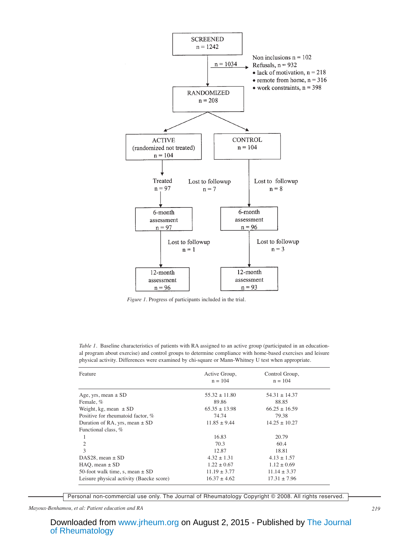

*Figure 1.* Progress of participants included in the trial.

| Feature                                  | Active Group,     | Control Group,    |  |
|------------------------------------------|-------------------|-------------------|--|
|                                          | $n = 104$         | $n = 104$         |  |
| Age, yrs, mean $\pm$ SD                  | $55.32 \pm 11.80$ | $54.31 \pm 14.37$ |  |
| Female, %                                | 89.86             | 88.85             |  |
| Weight, kg, mean $\pm$ SD                | $65.35 \pm 13.98$ | $66.25 \pm 16.59$ |  |
| Positive for rheumatoid factor, %        | 74.74             | 79.38             |  |
| Duration of RA, yrs, mean $\pm$ SD       | $11.85 \pm 9.44$  | $14.25 \pm 10.27$ |  |
| Functional class, %                      |                   |                   |  |
|                                          | 16.83             | 20.79             |  |
| $\overline{2}$                           | 70.3              | 60.4              |  |
| 3                                        | 12.87             | 18.81             |  |
| DAS28, mean $\pm$ SD                     | $4.32 \pm 1.31$   | $4.13 \pm 1.57$   |  |
| $HAO$ , mean $\pm$ SD                    | $1.22 \pm 0.67$   | $1.12 \pm 0.69$   |  |
| 50-foot walk time, s, mean $\pm$ SD      | $11.19 \pm 3.77$  | $11.14 \pm 3.37$  |  |
| Leisure physical activity (Baecke score) | $16.37 \pm 4.62$  | $17.31 \pm 7.96$  |  |

*Table 1.* Baseline characteristics of patients with RA assigned to an active group (participated in an educational program about exercise) and control groups to determine compliance with home-based exercises and leisure physical activity. Differences were examined by chi-square or Mann-Whitney U test when appropriate.

Personal non-commercial use only. The Journal of Rheumatology Copyright © 2008. All rights reserved.

*Mayoux-Benhamou, et al: Patient education and RA 219*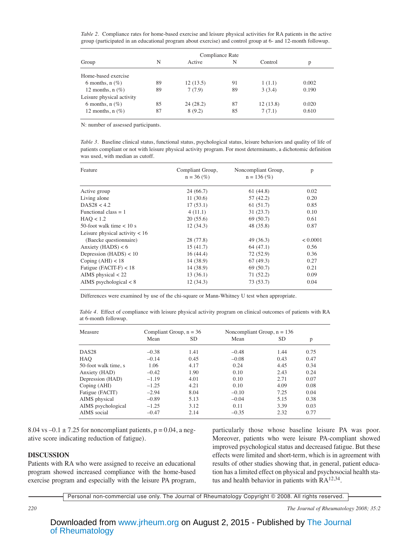*Table 2.* Compliance rates for home-based exercise and leisure physical activities for RA patients in the active group (participated in an educational program about exercise) and control group at 6- and 12-month followup.

|                           |    | Compliance Rate |    |          |       |  |
|---------------------------|----|-----------------|----|----------|-------|--|
| Group                     | N  | Active          | N  | Control  | р     |  |
| Home-based exercise       |    |                 |    |          |       |  |
| 6 months, $n$ (%)         | 89 | 12(13.5)        | 91 | 1(1.1)   | 0.002 |  |
| 12 months, $n$ (%)        | 89 | 7(7.9)          | 89 | 3(3.4)   | 0.190 |  |
| Leisure physical activity |    |                 |    |          |       |  |
| 6 months, $n$ (%)         | 85 | 24(28.2)        | 87 | 12(13.8) | 0.020 |  |
| 12 months, $n$ (%)        | 87 | 8(9.2)          | 85 | 7(7.1)   | 0.610 |  |

N: number of assessed participants.

*Table 3.* Baseline clinical status, functional status, psychological status, leisure behaviors and quality of life of patients compliant or not with leisure physical activity program. For most determinants, a dichotomic definition was used, with median as cutoff.

| Feature                          | Compliant Group,<br>$n = 36$ (%) | Noncompliant Group,<br>$n = 136$ (%) | p        |
|----------------------------------|----------------------------------|--------------------------------------|----------|
| Active group                     | 24 (66.7)                        | 61 (44.8)                            | 0.02     |
| Living alone                     | 11(30.6)                         | 57 (42.2)                            | 0.20     |
| DAS28 < 4.2                      | 17(53.1)                         | 61(51.7)                             | 0.85     |
| Functional class $= 1$           | 4(11.1)                          | 31(23.7)                             | 0.10     |
| HAO < 1.2                        | 20(55.6)                         | 69(50.7)                             | 0.61     |
| 50-foot walk time $< 10$ s       | 12(34.3)                         | 48 (35.8)                            | 0.87     |
| Leisure physical activity $< 16$ |                                  |                                      |          |
| (Baecke questionnaire)           | 28 (77.8)                        | 49 (36.3)                            | < 0.0001 |
| Anxiety (HADS) $< 6$             | 15(41.7)                         | 64(47.1)                             | 0.56     |
| Depression $(HADS) < 10$         | 16(44.4)                         | 72(52.9)                             | 0.36     |
| Coping $(AHI) < 18$              | 14 (38.9)                        | 67(49.3)                             | 0.27     |
| Fatigue (FACIT-F) $< 18$         | 14 (38.9)                        | 69(50.7)                             | 0.21     |
| AIMS physical $<$ 22             | 13(36.1)                         | 71(52.2)                             | 0.09     |
| AIMS psychological $< 8$         | 12(34.3)                         | 73(53.7)                             | 0.04     |

Differences were examined by use of the chi-square or Mann-Whitney U test when appropriate.

*Table 4.* Effect of compliance with leisure physical activity program on clinical outcomes of patients with RA at 6-month followup.

| Measure              | Compliant Group, $n = 36$ |      | Noncompliant Group, $n = 136$ |      |      |
|----------------------|---------------------------|------|-------------------------------|------|------|
|                      | Mean                      | SD   | Mean                          | SD.  | p    |
| DAS <sub>28</sub>    | $-0.38$                   | 1.41 | $-0.48$                       | 1.44 | 0.75 |
| HAO                  | $-0.14$                   | 0.45 | $-0.08$                       | 0.43 | 0.47 |
| 50-foot walk time, s | 1.06                      | 4.17 | 0.24                          | 4.45 | 0.34 |
| Anxiety (HAD)        | $-0.42$                   | 1.90 | 0.10                          | 2.43 | 0.24 |
| Depression (HAD)     | $-1.19$                   | 4.01 | 0.10                          | 2.71 | 0.07 |
| Coping (AHI)         | $-1.25$                   | 4.21 | 0.10                          | 4.09 | 0.08 |
| Fatigue (FACIT)      | $-2.94$                   | 8.04 | $-0.10$                       | 7.25 | 0.04 |
| AIMS physical        | $-0.89$                   | 5.13 | $-0.04$                       | 5.15 | 0.38 |
| AIMS psychological   | $-1.25$                   | 3.12 | 0.11                          | 3.39 | 0.03 |
| AIMS social          | $-0.47$                   | 2.14 | $-0.35$                       | 2.32 | 0.77 |

8.04 vs  $-0.1 \pm 7.25$  for noncompliant patients,  $p = 0.04$ , a negative score indicating reduction of fatigue).

#### **DISCUSSION**

Patients with RA who were assigned to receive an educational program showed increased compliance with the home-based exercise program and especially with the leisure PA program, particularly those whose baseline leisure PA was poor. Moreover, patients who were leisure PA-compliant showed improved psychological status and decreased fatigue. But these effects were limited and short-term, which is in agreement with results of other studies showing that, in general, patient education has a limited effect on physical and psychosocial health status and health behavior in patients with  $RA^{12,34}$ .

Personal non-commercial use only. The Journal of Rheumatology Copyright © 2008. All rights reserved.

*220 The Journal of Rheumatology 2008; 35:2*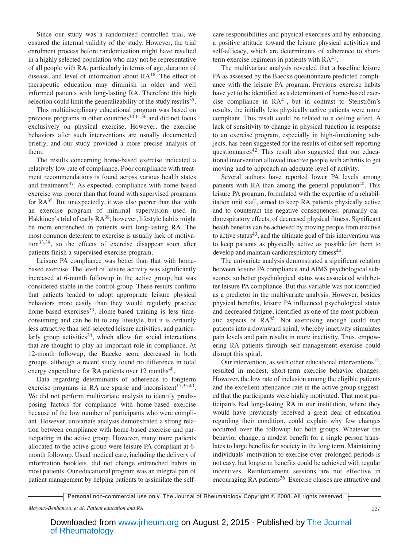Since our study was a randomized controlled trial, we ensured the internal validity of the study. However, the trial enrolment process before randomization might have resulted in a highly selected population who may not be representative of all people with RA, particularly in terms of age, duration of disease, and level of information about RA16. The effect of therapeutic education may diminish in older and well informed patients with long-lasting RA. Therefore this high selection could limit the generalizability of the study results $35$ .

This multidisciplinary educational program was based on previous programs in other countries<sup>10,11,36</sup> and did not focus exclusively on physical exercise. However, the exercise behaviors after such interventions are usually documented briefly, and our study provided a more precise analysis of them.

The results concerning home-based exercise indicated a relatively low rate of compliance. Poor compliance with treatment recommendations is found across various health states and treatments<sup>37</sup>. As expected, compliance with home-based exercise was poorer than that found with supervised programs for  $RA^{35}$ . But unexpectedly, it was also poorer than that with an exercise program of minimal supervision used in Hakkinen's trial of early RA<sup>38</sup>; however, lifestyle habits might be more entrenched in patients with long-lasting RA. The most common deterrent to exercise is usually lack of motivation33,39, so the effects of exercise disappear soon after patients finish a supervised exercise program.

Leisure PA compliance was better than that with homebased exercise. The level of leisure activity was significantly increased at 6-month followup in the active group, but was considered stable in the control group. These results confirm that patients tended to adopt appropriate leisure physical behaviors more easily than they would regularly practice home-based exercises<sup>33</sup>. Home-based training is less timeconsuming and can be fit to any lifestyle, but it is certainly less attractive than self-selected leisure activities, and particularly group activities<sup>34</sup>, which allow for social interactions that are thought to play an important role in compliance. At 12-month followup, the Baecke score decreased in both groups, although a recent study found no difference in total energy expenditure for RA patients over  $12$  months<sup>40</sup>.

Data regarding determinants of adherence to longterm exercise programs in RA are sparse and inconsistent<sup>15,35,40</sup>. We did not perform multivariate analysis to identify predisposing factors for compliance with home-based exercise because of the low number of participants who were compliant. However, univariate analysis demonstrated a strong relation between compliance with home-based exercise and participating in the active group. However, many more patients allocated to the active group were leisure PA-compliant at 6 month followup. Usual medical care, including the delivery of information booklets, did not change entrenched habits in most patients. Our educational program was an integral part of patient management by helping patients to assimilate the selfcare responsibilities and physical exercises and by enhancing a positive attitude toward the leisure physical activities and self-efficacy, which are determinants of adherence to shortterm exercise regimens in patients with  $RA<sup>41</sup>$ .

The multivariate analysis revealed that a baseline leisure PA as assessed by the Baecke questionnaire predicted compliance with the leisure PA program. Previous exercise habits have yet to be identified as a determinant of home-based exercise compliance in  $RA<sup>41</sup>$ , but in contrast to Stenström's results, the initially less physically active patients were more compliant. This result could be related to a ceiling effect. A lack of sensitivity to change in physical function in response to an exercise program, especially in high-functioning subjects, has been suggested for the results of other self-reporting questionnaires<sup> $42$ </sup>. This result also suggested that our educational intervention allowed inactive people with arthritis to get moving and to approach an adequate level of activity.

Several authors have reported lower PA levels among patients with RA than among the general population<sup>40</sup>. This leisure PA program, formulated with the expertise of a rehabilitation unit staff, aimed to keep RA patients physically active and to counteract the negative consequences, primarily cardiorespiratory effects, of decreased physical fitness. Significant health benefits can be achieved by moving people from inactive to active status $43$ , and the ultimate goal of this intervention was to keep patients as physically active as possible for them to develop and maintain cardiorespiratory fitness<sup>44</sup>.

The univariate analysis demonstrated a significant relation between leisure PA compliance and AIMS psychological subscores, so better psychological status was associated with better leisure PA compliance. But this variable was not identified as a predictor in the multivariate analysis. However, besides physical benefits, leisure PA influenced psychological status and decreased fatigue, identified as one of the most problematic aspects of  $RA<sup>45</sup>$ . Not exercising enough could trap patients into a downward spiral, whereby inactivity stimulates pain levels and pain results in more inactivity. Thus, empowering RA patients through self-management exercise could disrupt this spiral.

Our intervention, as with other educational interventions<sup>12</sup>, resulted in modest, short-term exercise behavior changes. However, the low rate of inclusion among the eligible patients and the excellent attendance rate in the active group suggested that the participants were highly motivated. That most participants had long-lasting RA in our institution, where they would have previously received a great deal of education regarding their condition, could explain why few changes occurred over the followup for both groups. Whatever the behavior change, a modest benefit for a single person translates to large benefits for society in the long term. Maintaining individuals' motivation to exercise over prolonged periods is not easy, but longterm benefits could be achieved with regular incentives. Reinforcement sessions are not effective in encouraging RA patients<sup>36</sup>. Exercise classes are attractive and

Personal non-commercial use only. The Journal of Rheumatology Copyright © 2008. All rights reserved.

*Mayoux-Benhamou, et al: Patient education and RA 221*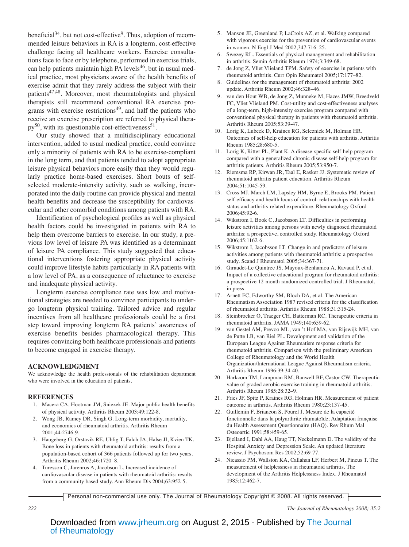beneficial<sup>34</sup>, but not cost-effective<sup>9</sup>. Thus, adoption of recommended leisure behaviors in RA is a longterm, cost-effective challenge facing all healthcare workers. Exercise consultations face to face or by telephone, performed in exercise trials, can help patients maintain high PA levels<sup>46</sup>, but in usual medical practice, most physicians aware of the health benefits of exercise admit that they rarely address the subject with their patients<sup>47,48</sup>. Moreover, most rheumatologists and physical therapists still recommend conventional RA exercise programs with exercise restrictions $49$ , and half the patients who receive an exercise prescription are referred to physical thera $py^{50}$ , with its questionable cost-effectiveness<sup>51</sup>.

Our study showed that a multidisciplinary educational intervention, added to usual medical practice, could convince only a minority of patients with RA to be exercise-compliant in the long term, and that patients tended to adopt appropriate leisure physical behaviors more easily than they would regularly practice home-based exercises. Short bouts of selfselected moderate-intensity activity, such as walking, incorporated into the daily routine can provide physical and mental health benefits and decrease the susceptibility for cardiovascular and other comorbid conditions among patients with RA.

Identification of psychological profiles as well as physical health factors could be investigated in patients with RA to help them overcome barriers to exercise. In our study, a previous low level of leisure PA was identified as a determinant of leisure PA compliance. This study suggested that educational interventions fostering appropriate physical activity could improve lifestyle habits particularly in RA patients with a low level of PA, as a consequence of reluctance to exercise and inadequate physical activity.

Longterm exercise compliance rate was low and motivational strategies are needed to convince participants to undergo longterm physical training. Tailored advice and regular incentives from all healthcare professionals could be a first step toward improving longterm RA patients' awareness of exercise benefits besides pharmacological therapy. This requires convincing both healthcare professionals and patients to become engaged in exercise therapy.

#### **ACKNOWLEDGMENT**

We acknowledge the health professionals of the rehabilitation department who were involved in the education of patients.

#### **REFERENCES**

- 1. Macera CA, Hootman JM, Sniezek JE. Major public health benefits of physical activity. Arthritis Rheum 2003;49:122-8.
- 2. Wong JB, Ramey DR, Singh G. Long-term morbidity, mortality, and economics of rheumatoid arthritis. Arthritis Rheum 2001;44:2746-9.
- 3. Haugeberg G, Orstavik RE, Uhlig T, Falch JA, Halse JI, Kvien TK. Bone loss in patients with rheumatoid arthritis: results from a population-based cohort of 366 patients followed up for two years. Arthritis Rheum 2002;46:1720–8.
- 4. Turesson C, Jarenros A, Jacobson L. Increased incidence of cardiovascular disease in patients with rheumatoid arthritis: results from a community based study. Ann Rheum Dis 2004;63:952-5.
- 5. Manson JE, Greenland P, LaCroix AZ, et al. Walking compared with vigorous exercise for the prevention of cardiovascular events in women. N Engl J Med 2002;347:716–25.
- 6. Swezey RL. Essentials of physical management and rehabilitation in arthritis. Semin Arthritis Rheum 1974;3:349-68.
- 7. de Jong Z, Vliet Vlieland TPM. Safety of exercise in patients with rheumatoid arthritis. Curr Opin Rheumatol 2005;17:177–82.
- 8. Guidelines for the management of rheumatoid arthritis: 2002 update. Arthritis Rheum 2002;46:328–46.
- 9. van den Hout WB, de Jong Z, Munneke M, Hazes JMW, Breedveld FC, Vliet Vlieland PM. Cost-utility and cost-effectiveness analyses of a long-term, high-intensity exercise program compared with conventional physical therapy in patients with rheumatoid arthritis. Arthritis Rheum 2005;53:39-47.
- 10. Lorig K, Lubeck D, Kraines RG, Seleznick M, Holman HR. Outcomes of self-help education for patients with arthritis. Arthritis Rheum 1985;28:680-5.
- 11. Lorig K, Ritter PL, Plant K. A disease-specific self-help program compared with a generalized chronic disease self-help program for arthritis patients. Arthritis Rheum 2005;53:950-7.
- 12. Riemsma RP, Kirwan JR, Taal E, Rasker JJ. Systematic review of rheumatoid arthritis patient education. Arthritis Rheum 2004;51:1045-59.
- 13. Cross MJ, March LM, Lapsley HM, Byrne E, Brooks PM. Patient self-efficacy and health locus of control: relationships with health status and arthritis-related expenditure. Rheumatology Oxford 2006;45:92-6.
- 14. Wikstrom I, Book C, Jacobsson LT. Difficulties in performing leisure activities among persons with newly diagnosed rheumatoid arthritis: a prospective, controlled study. Rheumatology Oxford 2006;45:1162-6.
- 15. Wikstrom I, Jacobsson LT. Change in and predictors of leisure activities among patients with rheumatoid arthritis: a prospective study. Scand J Rheumatol 2005;34:367-71.
- 16. Giraudet-Le Quintrec JS, Mayoux-Benhamou A, Ravaud P, et al. Impact of a collective educational program for rheumatoid arthritis: a prospective 12-month randomized controlled trial. J Rheumatol, in press.
- 17. Arnett FC, Edworthy SM, Bloch DA, et al. The American Rheumatism Association 1987 revised criteria for the classification of rheumatoid arthritis. Arthritis Rheum 1988;31:315-24.
- 18. Steinbrocker O, Traeger CH, Batterman RC. Therapeutic criteria in rheumatoid arthritis. JAMA 1949;140:659-62.
- 19. van Gestel AM, Prevoo ML, van 't Hof MA, van Rijswijk MH, van de Putte LB, van Riel PL. Development and validation of the European League Against Rheumatism response criteria for rheumatoid arthritis. Comparison with the preliminary American College of Rheumatology and the World Health Organization/International League Against Rheumatism criteria. Arthritis Rheum 1996;39:34-40.
- 20. Harkcom TM, Lampman RM, Banwell BF, Castor CW. Therapeutic value of graded aerobic exercise training in rheumatoid arthritis. Arthritis Rheum 1985;28:32–9.
- 21. Fries JF, Spitz P, Kraines RG, Holman HR. Measurement of patient outcome in arthritis. Arthritis Rheum 1980;23:137-45.
- 22. Guillemin F, Briancon S, Pourel J. Mesure de la capacité fonctionnelle dans la polyarthrite rhumatoïde; Adaptation française du Health Assessment Questionnaire (HAQ). Rev Rhum Mal Osteoartic 1991;58:459-65.
- 23. Bjelland I, Dahl AA, Haug TT, Neckelmann D. The validity of the Hospital Anxiety and Depression Scale. An updated literature review. J Psychosom Res 2002;52:69-77.
- 24. Nicassio PM, Wallston KA, Callahan LF, Herbert M, Pincus T. The measurement of helplessness in rheumatoid arthritis. The development of the Arthritis Helplessness Index. J Rheumatol 1985;12:462-7.

Personal non-commercial use only. The Journal of Rheumatology Copyright © 2008. All rights reserved.

*222 The Journal of Rheumatology 2008; 35:2*